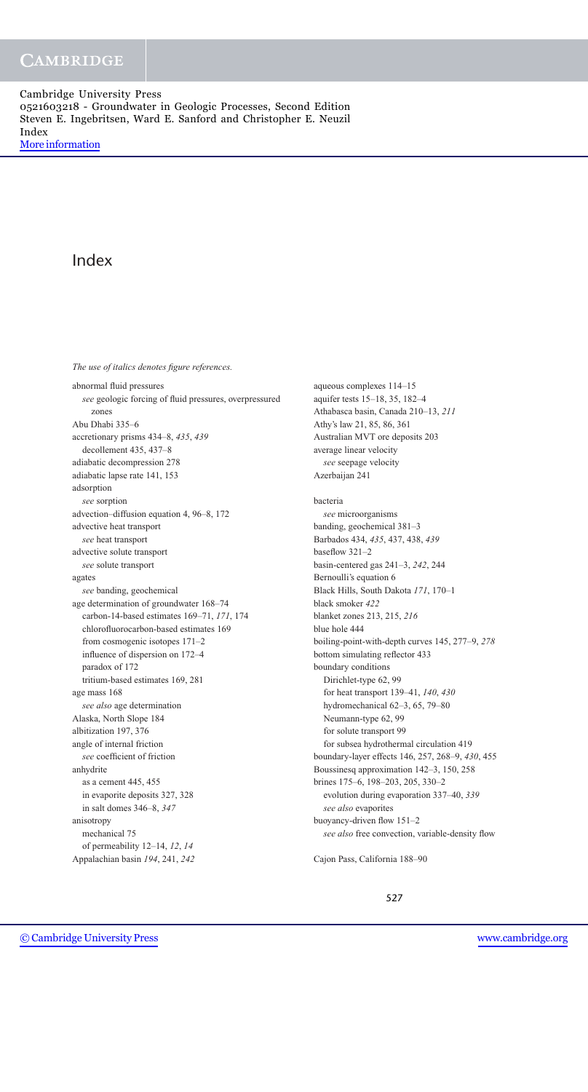# Index

*The use of italics denotes figure references.*

abnormal fluid pressures *see* geologic forcing of fluid pressures, overpressured zones Abu Dhabi 335–6 accretionary prisms 434–8, *435*, *439* decollement 435, 437–8 adiabatic decompression 278 adiabatic lapse rate 141, 153 adsorption *see* sorption advection–diffusion equation 4, 96–8, 172 advective heat transport *see* heat transport advective solute transport *see* solute transport agates *see* banding, geochemical age determination of groundwater 168–74 carbon-14-based estimates 169–71, *171*, 174 chlorofluorocarbon-based estimates 169 from cosmogenic isotopes 171–2 influence of dispersion on 172–4 paradox of 172 tritium-based estimates 169, 281 age mass 168 *see also* age determination Alaska, North Slope 184 albitization 197, 376 angle of internal friction *see* coefficient of friction anhydrite as a cement 445, 455 in evaporite deposits 327, 328 in salt domes 346–8, *347* anisotropy mechanical 75 of permeability 12–14, *12*, *14* Appalachian basin *194*, 241, *242*

aqueous complexes 114–15 aquifer tests 15–18, 35, 182–4 Athabasca basin, Canada 210–13, *211* Athy's law 21, 85, 86, 361 Australian MVT ore deposits 203 average linear velocity *see* seepage velocity Azerbaijan 241 bacteria *see* microorganisms banding, geochemical 381–3 Barbados 434, *435*, 437, 438, *439* baseflow 321–2 basin-centered gas 241–3, *242*, 244 Bernoulli's equation 6 Black Hills, South Dakota *171*, 170–1 black smoker *422* blanket zones 213, 215, *216* blue hole 444 boiling-point-with-depth curves 145, 277–9, *278* bottom simulating reflector 433 boundary conditions Dirichlet-type 62, 99 for heat transport 139–41, *140*, *430* hydromechanical 62–3, 65, 79–80 Neumann-type 62, 99 for solute transport 99 for subsea hydrothermal circulation 419 boundary-layer effects 146, 257, 268–9, *430*, 455 Boussinesq approximation 142–3, 150, 258 brines 175–6, 198–203, 205, 330–2 evolution during evaporation 337–40, *339 see also* evaporites buoyancy-driven flow 151–2 *see also* free convection, variable-density flow

Cajon Pass, California 188–90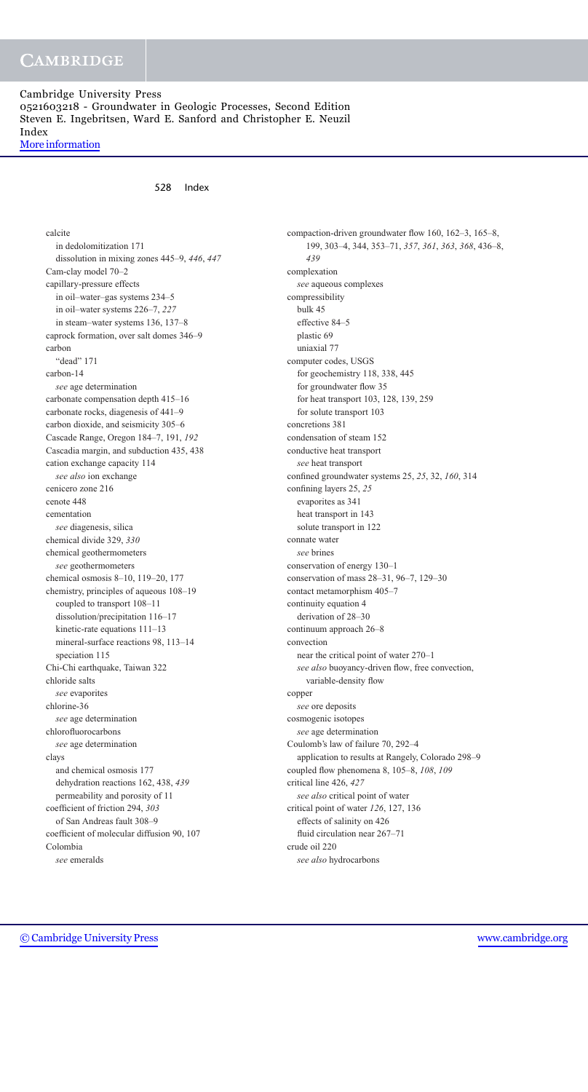# **CAMBRIDGE**

## Cambridge University Press 0521603218 - Groundwater in Geologic Processes, Second Edition Steven E. Ingebritsen, Ward E. Sanford and Christopher E. Neuzil Index [More information](http://www.cambridge.org/0521603218)

## 528 Index

calcite in dedolomitization 171 dissolution in mixing zones 445–9, *446*, *447* Cam-clay model 70–2 capillary-pressure effects in oil–water–gas systems 234–5 in oil–water systems 226–7, *227* in steam–water systems 136, 137–8 caprock formation, over salt domes 346–9 carbon "dead" 171 carbon-14 *see* age determination carbonate compensation depth 415–16 carbonate rocks, diagenesis of 441–9 carbon dioxide, and seismicity 305–6 Cascade Range, Oregon 184–7, 191, *192* Cascadia margin, and subduction 435, 438 cation exchange capacity 114 *see also* ion exchange cenicero zone 216 cenote 448 cementation *see* diagenesis, silica chemical divide 329, *330* chemical geothermometers *see* geothermometers chemical osmosis 8–10, 119–20, 177 chemistry, principles of aqueous 108–19 coupled to transport 108–11 dissolution/precipitation 116–17 kinetic-rate equations 111–13 mineral-surface reactions 98, 113–14 speciation 115 Chi-Chi earthquake, Taiwan 322 chloride salts *see* evaporites chlorine-36 *see* age determination chlorofluorocarbons *see* age determination clays and chemical osmosis 177 dehydration reactions 162, 438, *439* permeability and porosity of 11 coefficient of friction 294, *303* of San Andreas fault 308–9 coefficient of molecular diffusion 90, 107 Colombia *see* emeralds

compaction-driven groundwater flow 160, 162–3, 165–8, 199, 303–4, 344, 353–71, *357*, *361*, *363*, *368*, 436–8, *439* complexation *see* aqueous complexes compressibility bulk 45 effective 84–5 plastic 69 uniaxial 77 computer codes, USGS for geochemistry 118, 338, 445 for groundwater flow 35 for heat transport 103, 128, 139, 259 for solute transport 103 concretions 381 condensation of steam 152 conductive heat transport *see* heat transport confined groundwater systems 25, *25*, 32, *160*, 314 confining layers 25, *25* evaporites as 341 heat transport in 143 solute transport in 122 connate water *see* brines conservation of energy 130–1 conservation of mass 28–31, 96–7, 129–30 contact metamorphism 405–7 continuity equation 4 derivation of 28–30 continuum approach 26–8 convection near the critical point of water 270–1 *see also* buoyancy-driven flow, free convection, variable-density flow copper *see* ore deposits cosmogenic isotopes *see* age determination Coulomb's law of failure 70, 292–4 application to results at Rangely, Colorado 298–9 coupled flow phenomena 8, 105–8, *108*, *109* critical line 426, *427 see also* critical point of water critical point of water *126*, 127, 136 effects of salinity on 426 fluid circulation near 267–71 crude oil 220

*see also* hydrocarbons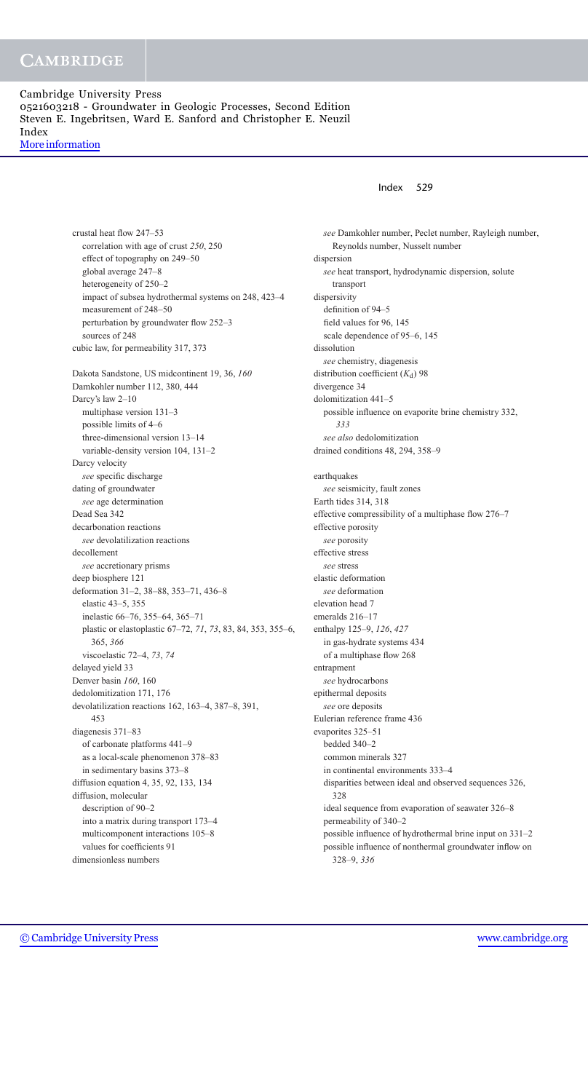> crustal heat flow 247–53 correlation with age of crust *250*, 250 effect of topography on 249–50 global average 247–8 heterogeneity of 250–2 impact of subsea hydrothermal systems on 248, 423–4 measurement of 248–50 perturbation by groundwater flow 252–3 sources of 248 cubic law, for permeability 317, 373 Dakota Sandstone, US midcontinent 19, 36, *160* Damkohler number 112, 380, 444 Darcy's law 2–10 multiphase version 131–3 possible limits of 4–6 three-dimensional version 13–14 variable-density version 104, 131–2 Darcy velocity *see* specific discharge dating of groundwater *see* age determination Dead Sea 342 decarbonation reactions *see* devolatilization reactions decollement *see* accretionary prisms deep biosphere 121 deformation 31–2, 38–88, 353–71, 436–8 elastic 43–5, 355 inelastic 66–76, 355–64, 365–71 plastic or elastoplastic 67–72, *71*, *73*, 83, 84, 353, 355–6, 365, *366* viscoelastic 72–4, *73*, *74* delayed yield 33 Denver basin *160*, 160 dedolomitization 171, 176 devolatilization reactions 162, 163–4, 387–8, 391, 453 diagenesis 371–83 of carbonate platforms 441–9 as a local-scale phenomenon 378–83 in sedimentary basins 373–8 diffusion equation 4, 35, 92, 133, 134 diffusion, molecular description of 90–2 into a matrix during transport 173–4 multicomponent interactions 105–8 values for coefficients 91 dimensionless numbers

## Index 529

*see* Damkohler number, Peclet number, Rayleigh number, Reynolds number, Nusselt number dispersion *see* heat transport, hydrodynamic dispersion, solute transport dispersivity definition of 94–5 field values for 96, 145 scale dependence of 95–6, 145 dissolution *see* chemistry, diagenesis distribution coefficient  $(K_d)$  98 divergence 34 dolomitization 441–5 possible influence on evaporite brine chemistry 332, *333 see also* dedolomitization drained conditions 48, 294, 358–9 earthquakes *see* seismicity, fault zones Earth tides 314, 318 effective compressibility of a multiphase flow 276–7 effective porosity *see* porosity effective stress *see* stress elastic deformation *see* deformation elevation head 7 emeralds 216–17 enthalpy 125–9, *126*, *427* in gas-hydrate systems 434 of a multiphase flow 268 entrapment *see* hydrocarbons epithermal deposits *see* ore deposits Eulerian reference frame 436 evaporites 325–51 bedded 340–2 common minerals 327 in continental environments 333–4 disparities between ideal and observed sequences 326, 328 ideal sequence from evaporation of seawater 326–8 permeability of 340–2 possible influence of hydrothermal brine input on 331–2 possible influence of nonthermal groundwater inflow on 328–9, *336*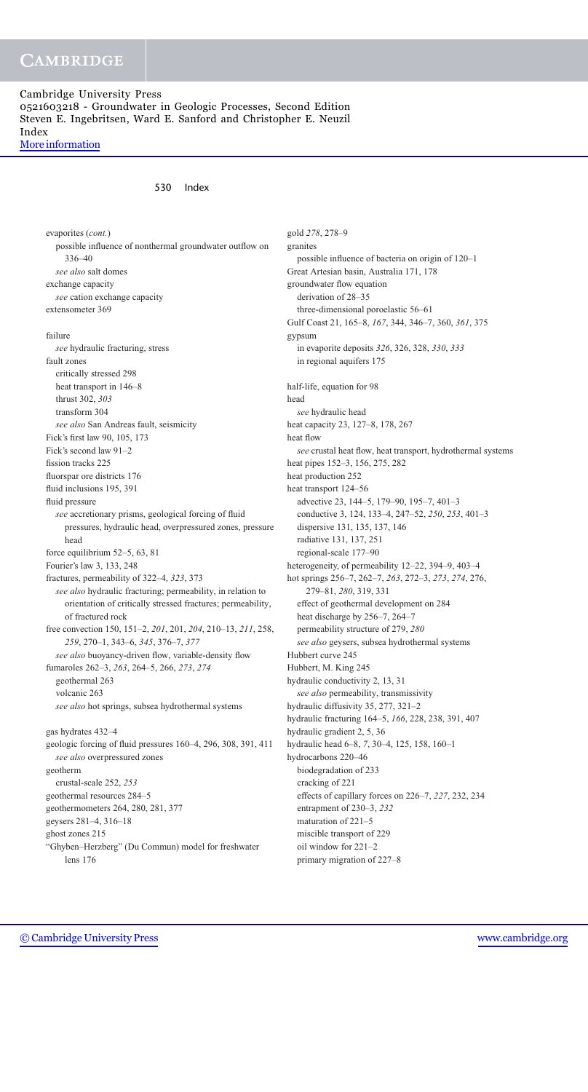# **CAMBRIDGE**

## Cambridge University Press 0521603218 - Groundwater in Geologic Processes, Second Edition Steven E. Ingebritsen, Ward E. Sanford and Christopher E. Neuzil Index [More information](http://www.cambridge.org/0521603218)

### 530 Index

evaporites (*cont.*) possible influence of nonthermal groundwater outflow on 336–40 *see also* salt domes exchange capacity *see* cation exchange capacity extensometer 369 failure *see* hydraulic fracturing, stress fault zones critically stressed 298 heat transport in 146–8 thrust 302, *303* transform 304 *see also* San Andreas fault, seismicity Fick's first law 90, 105, 173 Fick's second law 91–2 fission tracks 225 fluorspar ore districts 176 fluid inclusions 195, 391 fluid pressure *see* accretionary prisms, geological forcing of fluid pressures, hydraulic head, overpressured zones, pressure head force equilibrium 52–5, 63, 81 Fourier's law 3, 133, 248 fractures, permeability of 322–4, *323*, 373 *see also* hydraulic fracturing; permeability, in relation to orientation of critically stressed fractures; permeability, of fractured rock free convection 150, 151–2, *201*, 201, *204*, 210–13, *211*, 258, *259*, 270–1, 343–6, *345*, 376–7, *377 see also* buoyancy-driven flow, variable-density flow fumaroles 262–3, *263*, 264–5, 266, *273*, *274* geothermal 263 volcanic 263 *see also* hot springs, subsea hydrothermal systems gas hydrates 432–4 geologic forcing of fluid pressures 160–4, 296, 308, 391, 411 *see also* overpressured zones geotherm crustal-scale 252, *253* geothermal resources 284–5 geothermometers 264, 280, 281, 377 geysers 281–4, 316–18 ghost zones 215 "Ghyben–Herzberg" (Du Commun) model for freshwater lens 176

gold *278*, 278–9 granites possible influence of bacteria on origin of 120–1 Great Artesian basin, Australia 171, 178 groundwater flow equation derivation of 28–35 three-dimensional poroelastic 56–61 Gulf Coast 21, 165–8, *167*, 344, 346–7, 360, *361*, 375 gypsum in evaporite deposits *326*, 326, 328, *330*, *333* in regional aquifers 175 half-life, equation for 98 head *see* hydraulic head heat capacity 23, 127–8, 178, 267 heat flow *see* crustal heat flow, heat transport, hydrothermal systems heat pipes 152–3, 156, 275, 282 heat production 252 heat transport 124–56 advective 23, 144–5, 179–90, 195–7, 401–3 conductive 3, 124, 133–4, 247–52, *250*, *253*, 401–3 dispersive 131, 135, 137, 146 radiative 131, 137, 251 regional-scale 177–90 heterogeneity, of permeability 12–22, 394–9, 403–4 hot springs 256–7, 262–7, *263*, 272–3, *273*, *274*, 276, 279–81, *280*, 319, 331 effect of geothermal development on 284 heat discharge by 256–7, 264–7 permeability structure of 279, *280 see also* geysers, subsea hydrothermal systems Hubbert curve 245 Hubbert, M. King 245 hydraulic conductivity 2, 13, 31 *see also* permeability, transmissivity hydraulic diffusivity 35, 277, 321–2 hydraulic fracturing 164–5, *166*, 228, 238, 391, 407 hydraulic gradient 2, 5, 36 hydraulic head 6–8, *7*, 30–4, 125, 158, 160–1 hydrocarbons 220–46 biodegradation of 233 cracking of 221 effects of capillary forces on 226–7, *227*, 232, 234 entrapment of 230–3, *232* maturation of 221–5 miscible transport of 229 oil window for 221–2 primary migration of 227–8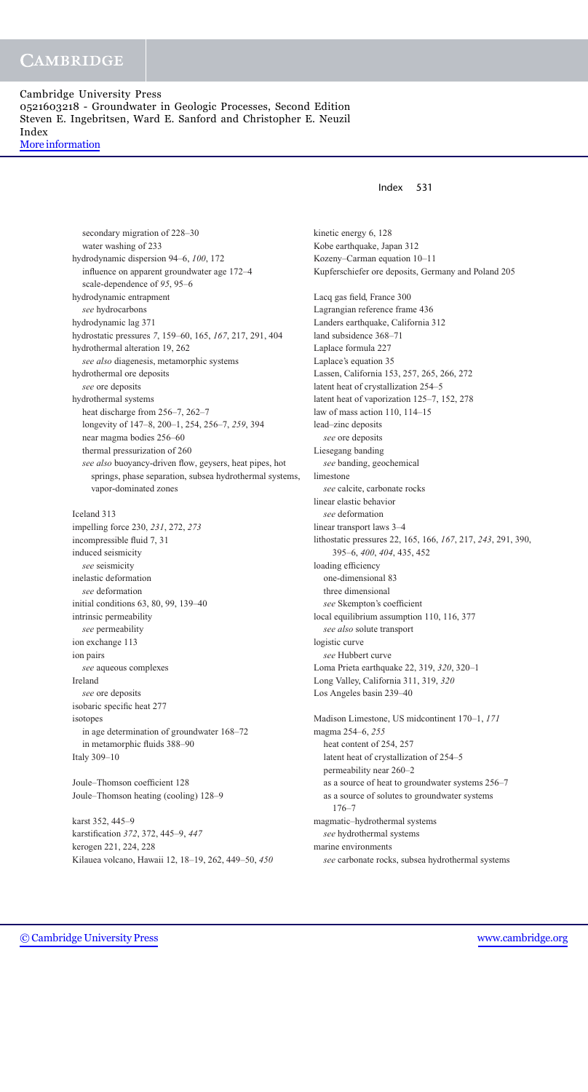Index 531

secondary migration of 228–30 water washing of 233 hydrodynamic dispersion 94–6, *100*, 172 influence on apparent groundwater age 172–4 scale-dependence of *95*, 95–6 hydrodynamic entrapment *see* hydrocarbons hydrodynamic lag 371 hydrostatic pressures *7*, 159–60, 165, *167*, 217, 291, 404 hydrothermal alteration 19, 262 *see also* diagenesis, metamorphic systems hydrothermal ore deposits *see* ore deposits hydrothermal systems heat discharge from 256–7, 262–7 longevity of 147–8, 200–1, 254, 256–7, *259*, 394 near magma bodies 256–60 thermal pressurization of 260 *see also* buoyancy-driven flow, geysers, heat pipes, hot springs, phase separation, subsea hydrothermal systems, vapor-dominated zones Iceland 313 impelling force 230, *231*, 272, *273* incompressible fluid 7, 31 induced seismicity *see* seismicity inelastic deformation *see* deformation initial conditions 63, 80, 99, 139–40 intrinsic permeability *see* permeability ion exchange 113 ion pairs

*see* aqueous complexes Ireland *see* ore deposits isobaric specific heat 277 isotopes in age determination of groundwater 168–72 in metamorphic fluids 388–90 Italy 309–10

Joule–Thomson coefficient 128 Joule–Thomson heating (cooling) 128–9

karst 352, 445–9 karstification *372*, 372, 445–9, *447* kerogen 221, 224, 228 Kilauea volcano, Hawaii 12, 18–19, 262, 449–50, *450* kinetic energy 6, 128 Kobe earthquake, Japan 312 Kozeny–Carman equation 10–11 Kupferschiefer ore deposits, Germany and Poland 205 Lacq gas field, France 300 Lagrangian reference frame 436 Landers earthquake, California 312 land subsidence 368–71 Laplace formula 227 Laplace's equation 35 Lassen, California 153, 257, 265, 266, 272 latent heat of crystallization 254–5 latent heat of vaporization 125–7, 152, 278 law of mass action 110, 114–15 lead–zinc deposits *see* ore deposits Liesegang banding *see* banding, geochemical limestone *see* calcite, carbonate rocks linear elastic behavior *see* deformation linear transport laws 3–4 lithostatic pressures 22, 165, 166, *167*, 217, *243*, 291, 390, 395–6, *400*, *404*, 435, 452 loading efficiency one-dimensional 83 three dimensional *see* Skempton's coefficient local equilibrium assumption 110, 116, 377 *see also* solute transport logistic curve *see* Hubbert curve Loma Prieta earthquake 22, 319, *320*, 320–1 Long Valley, California 311, 319, *320* Los Angeles basin 239–40 Madison Limestone, US midcontinent 170–1, *171* magma 254–6, *255* heat content of 254, 257 latent heat of crystallization of 254–5 permeability near 260–2 as a source of heat to groundwater systems 256–7 as a source of solutes to groundwater systems 176–7 magmatic–hydrothermal systems *see* hydrothermal systems marine environments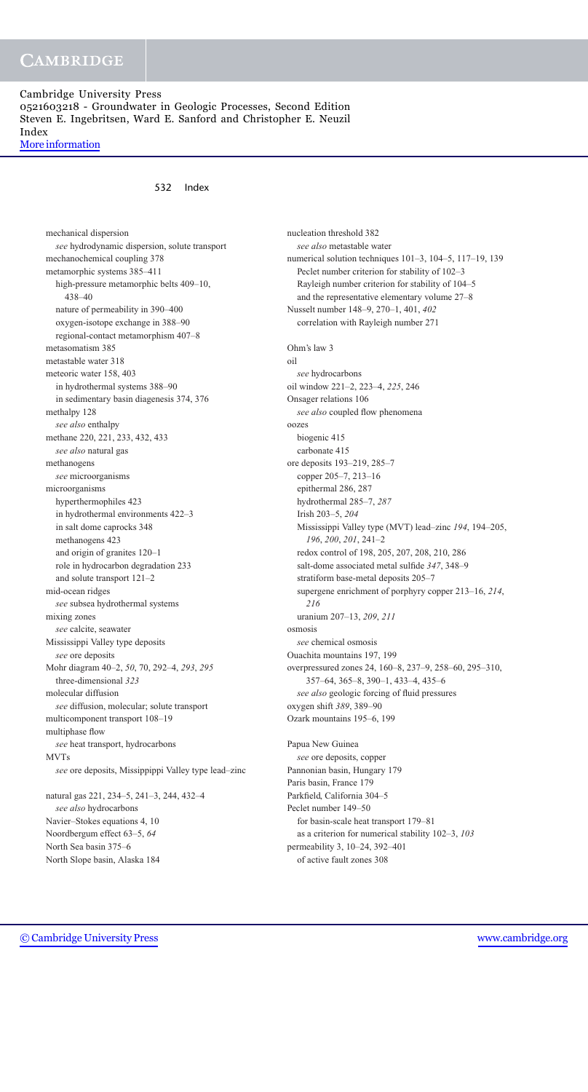[More information](http://www.cambridge.org/0521603218)

## 532 Index

mechanical dispersion *see* hydrodynamic dispersion, solute transport mechanochemical coupling 378 metamorphic systems 385–411 high-pressure metamorphic belts 409–10, 438–40 nature of permeability in 390–400 oxygen-isotope exchange in 388–90 regional-contact metamorphism 407–8 metasomatism 385 metastable water 318 meteoric water 158, 403 in hydrothermal systems 388–90 in sedimentary basin diagenesis 374, 376 methalpy 128 *see also* enthalpy methane 220, 221, 233, 432, 433 *see also* natural gas methanogens *see* microorganisms microorganisms hyperthermophiles 423 in hydrothermal environments 422–3 in salt dome caprocks 348 methanogens 423 and origin of granites 120–1 role in hydrocarbon degradation 233 and solute transport 121–2 mid-ocean ridges *see* subsea hydrothermal systems mixing zones *see* calcite, seawater Mississippi Valley type deposits *see* ore deposits Mohr diagram 40–2, *50*, 70, 292–4, *293*, *295* three-dimensional *323* molecular diffusion *see* diffusion, molecular; solute transport multicomponent transport 108–19 multiphase flow *see* heat transport, hydrocarbons MVTs *see* ore deposits, Missippippi Valley type lead–zinc natural gas 221, 234–5, 241–3, 244, 432–4 *see also* hydrocarbons Navier–Stokes equations 4, 10 Noordbergum effect 63–5, *64*

nucleation threshold 382 *see also* metastable water numerical solution techniques 101–3, 104–5, 117–19, 139 Peclet number criterion for stability of 102–3 Rayleigh number criterion for stability of 104–5 and the representative elementary volume 27–8 Nusselt number 148–9, 270–1, 401, *402* correlation with Rayleigh number 271 Ohm's law 3 oil *see* hydrocarbons oil window 221–2, 223–4, *225*, 246 Onsager relations 106 *see also* coupled flow phenomena oozes biogenic 415 carbonate 415 ore deposits 193–219, 285–7 copper 205–7, 213–16 epithermal 286, 287 hydrothermal 285–7, *287* Irish 203–5, *204* Mississippi Valley type (MVT) lead–zinc *194*, 194–205, *196*, *200*, *201*, 241–2 redox control of 198, 205, 207, 208, 210, 286 salt-dome associated metal sulfide *347*, 348–9 stratiform base-metal deposits 205–7 supergene enrichment of porphyry copper 213–16, *214*, *216* uranium 207–13, *209*, *211* osmosis *see* chemical osmosis Ouachita mountains 197, 199 overpressured zones 24, 160–8, 237–9, 258–60, 295–310, 357–64, 365–8, 390–1, 433–4, 435–6 *see also* geologic forcing of fluid pressures oxygen shift *389*, 389–90 Ozark mountains 195–6, 199 Papua New Guinea *see* ore deposits, copper Pannonian basin, Hungary 179 Paris basin, France 179 Parkfield, California 304–5 Peclet number 149–50 for basin-scale heat transport 179–81 as a criterion for numerical stability 102–3, *103* permeability 3, 10–24, 392–401

of active fault zones 308

North Sea basin 375–6 North Slope basin, Alaska 184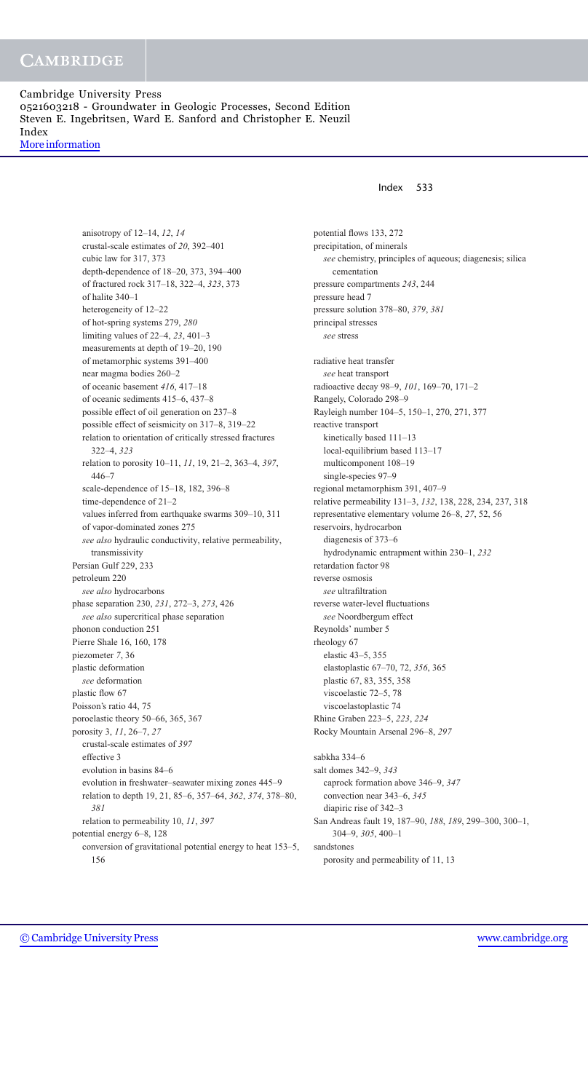[More information](http://www.cambridge.org/0521603218)

anisotropy of 12–14, *12*, *14* crustal-scale estimates of *20*, 392–401 cubic law for 317, 373 depth-dependence of 18–20, 373, 394–400 of fractured rock 317–18, 322–4, *323*, 373 of halite 340–1 heterogeneity of 12–22 of hot-spring systems 279, *280* limiting values of 22–4, *23*, 401–3 measurements at depth of 19–20, 190 of metamorphic systems 391–400 near magma bodies 260–2 of oceanic basement *416*, 417–18 of oceanic sediments 415–6, 437–8 possible effect of oil generation on 237–8 possible effect of seismicity on 317–8, 319–22 relation to orientation of critically stressed fractures 322–4, *323* relation to porosity 10–11, *11*, 19, 21–2, 363–4, *397*, 446–7 scale-dependence of 15–18, 182, 396–8 time-dependence of 21–2 values inferred from earthquake swarms 309–10, 311 of vapor-dominated zones 275 *see also* hydraulic conductivity, relative permeability, transmissivity Persian Gulf 229, 233 petroleum 220 *see also* hydrocarbons phase separation 230, *231*, 272–3, *273*, 426 *see also* supercritical phase separation phonon conduction 251 Pierre Shale 16, 160, 178 piezometer *7*, 36 plastic deformation *see* deformation plastic flow 67 Poisson's ratio 44, 75 poroelastic theory 50–66, 365, 367 porosity 3, *11*, 26–7, *27* crustal-scale estimates of *397* effective 3 evolution in basins 84–6 evolution in freshwater–seawater mixing zones 445–9 relation to depth 19, 21, 85–6, 357–64, *362*, *374*, 378–80, *381* relation to permeability 10, *11*, *397* potential energy 6–8, 128 conversion of gravitational potential energy to heat 153–5, 156

## Index 533

potential flows 133, 272 precipitation, of minerals *see* chemistry, principles of aqueous; diagenesis; silica cementation pressure compartments *243*, 244 pressure head 7 pressure solution 378–80, *379*, *381* principal stresses *see* stress radiative heat transfer *see* heat transport radioactive decay 98–9, *101*, 169–70, 171–2 Rangely, Colorado 298–9 Rayleigh number 104–5, 150–1, 270, 271, 377 reactive transport kinetically based 111–13 local-equilibrium based 113–17 multicomponent 108–19 single-species 97–9 regional metamorphism 391, 407–9 relative permeability 131–3, *132*, 138, 228, 234, 237, 318 representative elementary volume 26–8, *27*, 52, 56 reservoirs, hydrocarbon diagenesis of 373–6 hydrodynamic entrapment within 230–1, *232* retardation factor 98 reverse osmosis *see* ultrafiltration reverse water-level fluctuations *see* Noordbergum effect Reynolds' number 5 rheology 67 elastic 43–5, 355 elastoplastic 67–70, 72, *356*, 365 plastic 67, 83, 355, 358 viscoelastic 72–5, 78 viscoelastoplastic 74 Rhine Graben 223–5, *223*, *224* Rocky Mountain Arsenal 296–8, *297* sabkha 334–6 salt domes 342–9, *343* caprock formation above 346–9, *347* convection near 343–6, *345* diapiric rise of 342–3 San Andreas fault 19, 187–90, *188*, *189*, 299–300, 300–1, 304–9, *305*, 400–1 sandstones porosity and permeability of 11, 13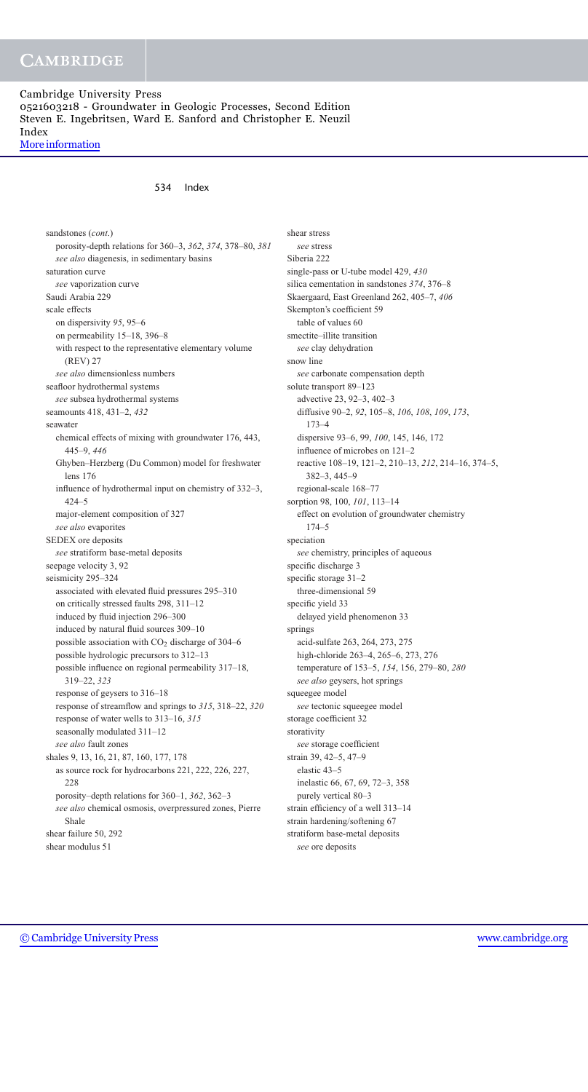# **CAMBRIDGE**

## Cambridge University Press 0521603218 - Groundwater in Geologic Processes, Second Edition Steven E. Ingebritsen, Ward E. Sanford and Christopher E. Neuzil Index [More information](http://www.cambridge.org/0521603218)

534 Index

sandstones (*cont*.) porosity-depth relations for 360–3, *362*, *374*, 378–80, *381 see also* diagenesis, in sedimentary basins saturation curve *see* vaporization curve Saudi Arabia 229 scale effects on dispersivity *95*, 95–6 on permeability 15–18, 396–8 with respect to the representative elementary volume (REV) 27 *see also* dimensionless numbers seafloor hydrothermal systems *see* subsea hydrothermal systems seamounts 418, 431–2, *432* seawater chemical effects of mixing with groundwater 176, 443, 445–9, *446* Ghyben–Herzberg (Du Common) model for freshwater lens 176 influence of hydrothermal input on chemistry of 332–3, 424–5 major-element composition of 327 *see also* evaporites SEDEX ore deposits *see* stratiform base-metal deposits seepage velocity 3, 92 seismicity 295–324 associated with elevated fluid pressures 295–310 on critically stressed faults 298, 311–12 induced by fluid injection 296–300 induced by natural fluid sources 309–10 possible association with  $CO<sub>2</sub>$  discharge of 304–6 possible hydrologic precursors to 312–13 possible influence on regional permeability 317–18, 319–22, *323* response of geysers to 316–18 response of streamflow and springs to *315*, 318–22, *320* response of water wells to 313–16, *315* seasonally modulated 311–12 *see also* fault zones shales 9, 13, 16, 21, 87, 160, 177, 178 as source rock for hydrocarbons 221, 222, 226, 227, 228 porosity–depth relations for 360–1, *362*, 362–3 *see also* chemical osmosis, overpressured zones, Pierre Shale shear failure 50, 292 shear modulus 51

shear stress *see* stress Siberia 222 single-pass or U-tube model 429, *430* silica cementation in sandstones *374*, 376–8 Skaergaard, East Greenland 262, 405–7, *406* Skempton's coefficient 59 table of values 60 smectite–illite transition *see* clay dehydration snow line *see* carbonate compensation depth solute transport 89–123 advective 23, 92–3, 402–3 diffusive 90–2, *92*, 105–8, *106*, *108*, *109*, *173*, 173–4 dispersive 93–6, 99, *100*, 145, 146, 172 influence of microbes on 121–2 reactive 108–19, 121–2, 210–13, *212*, 214–16, 374–5, 382–3, 445–9 regional-scale 168–77 sorption 98, 100, *101*, 113–14 effect on evolution of groundwater chemistry 174–5 speciation *see* chemistry, principles of aqueous specific discharge 3 specific storage 31–2 three-dimensional 59 specific yield 33 delayed yield phenomenon 33 springs acid-sulfate 263, 264, 273, 275 high-chloride 263–4, 265–6, 273, 276 temperature of 153–5, *154*, 156, 279–80, *280 see also* geysers, hot springs squeegee model *see* tectonic squeegee model storage coefficient 32 storativity *see* storage coefficient strain 39, 42–5, 47–9 elastic 43–5 inelastic 66, 67, 69, 72–3, 358 purely vertical 80–3 strain efficiency of a well 313–14 strain hardening/softening 67 stratiform base-metal deposits *see* ore deposits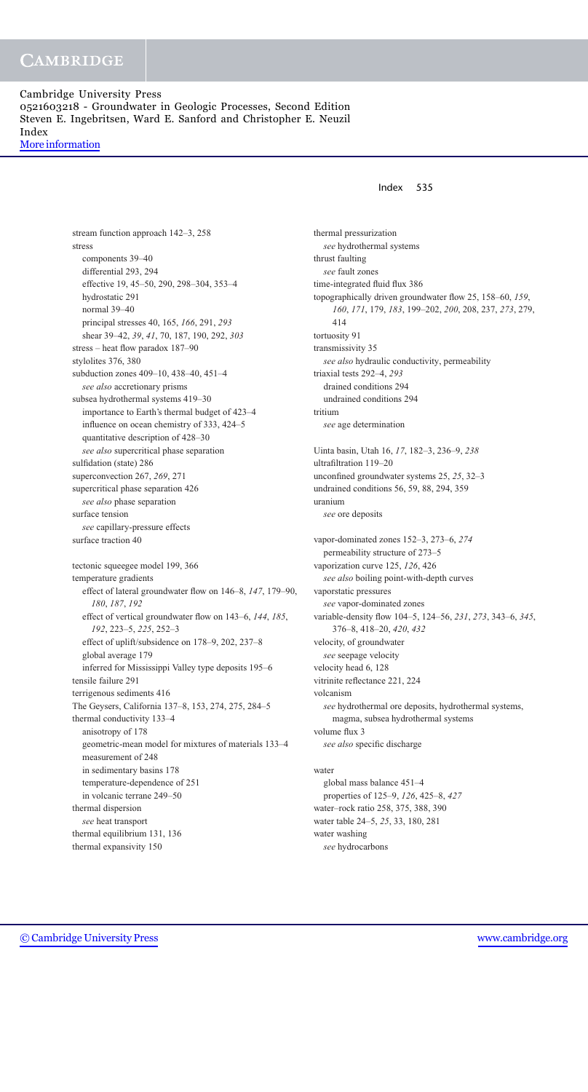stream function approach 142–3, 258 stress components 39–40 differential 293, 294 effective 19, 45–50, 290, 298–304, 353–4 hydrostatic 291 normal 39–40 principal stresses 40, 165, *166*, 291, *293* shear 39–42, *39*, *41*, 70, 187, 190, 292, *303* stress – heat flow paradox 187–90 stylolites 376, 380 subduction zones 409–10, 438–40, 451–4 *see also* accretionary prisms subsea hydrothermal systems 419–30 importance to Earth's thermal budget of 423–4 influence on ocean chemistry of 333, 424–5 quantitative description of 428–30 *see also* supercritical phase separation sulfidation (state) 286 superconvection 267, *269*, 271 supercritical phase separation 426 *see also* phase separation surface tension *see* capillary-pressure effects surface traction 40 tectonic squeegee model 199, 366 temperature gradients effect of lateral groundwater flow on 146–8, *147*, 179–90, *180*, *187*, *192* effect of vertical groundwater flow on 143–6, *144*, *185*, *192*, 223–5, *225*, 252–3 effect of uplift/subsidence on 178–9, 202, 237–8 global average 179 inferred for Mississippi Valley type deposits 195–6 tensile failure 291 terrigenous sediments 416 The Geysers, California 137–8, 153, 274, 275, 284–5 thermal conductivity 133–4 anisotropy of 178 geometric-mean model for mixtures of materials 133–4 measurement of 248 in sedimentary basins 178 temperature-dependence of 251 in volcanic terrane 249–50 thermal dispersion *see* heat transport thermal equilibrium 131, 136 thermal expansivity 150

## Index 535

thermal pressurization *see* hydrothermal systems thrust faulting *see* fault zones time-integrated fluid flux 386 topographically driven groundwater flow 25, 158–60, *159*, *160*, *171*, 179, *183*, 199–202, *200*, 208, 237, *273*, 279, 414 tortuosity 91 transmissivity 35 *see also* hydraulic conductivity, permeability triaxial tests 292–4, *293* drained conditions 294 undrained conditions 294 tritium *see* age determination Uinta basin, Utah 16, *17*, 182–3, 236–9, *238* ultrafiltration 119–20 unconfined groundwater systems 25, *25*, 32–3 undrained conditions 56, 59, 88, 294, 359 uranium *see* ore deposits vapor-dominated zones 152–3, 273–6, *274* permeability structure of 273–5 vaporization curve 125, *126*, 426 *see also* boiling point-with-depth curves vaporstatic pressures *see* vapor-dominated zones variable-density flow 104–5, 124–56, *231*, *273*, 343–6, *345*, 376–8, 418–20, *420*, *432* velocity, of groundwater *see* seepage velocity velocity head 6, 128 vitrinite reflectance 221, 224 volcanism *see* hydrothermal ore deposits, hydrothermal systems, magma, subsea hydrothermal systems volume flux 3 *see also* specific discharge water global mass balance 451–4

properties of 125–9, *126*, 425–8, *427* water–rock ratio 258, 375, 388, 390 water table 24–5, *25*, 33, 180, 281 water washing *see* hydrocarbons